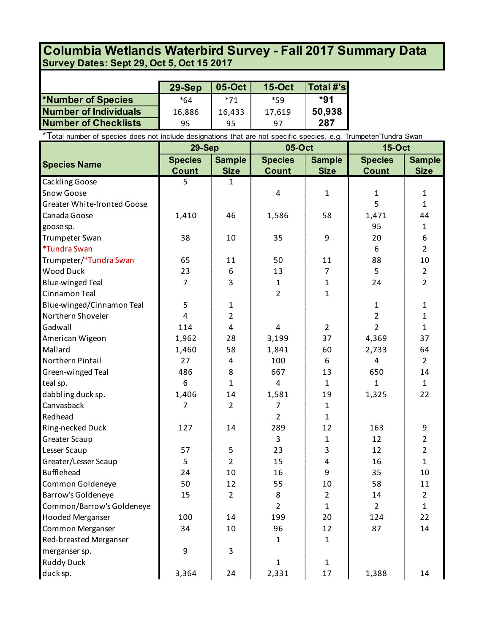## **Survey Dates: Sept 29, Oct 5, Oct 15 2017 Columbia Wetlands Waterbird Survey - Fall 2017 Summary Data**

|                             | $29-Sep$ | 05-Oct | $15-Oct$ | Total #'s |
|-----------------------------|----------|--------|----------|-----------|
| <b>*Number of Species</b>   | $*64$    | $*71$  | *59      | $*91$     |
| Number of Individuals       | 16,886   | 16.433 | 17,619   | 50,938    |
| <b>Number of Checklists</b> | 95       | 95     | 97       | 287       |

\*Total number of species does not include designations that are not specific species, e.g. Trumpeter/Tundra Swan

|                                    | 29-Sep<br>05-Oct |                |                | <b>15-Oct</b>  |                |                |
|------------------------------------|------------------|----------------|----------------|----------------|----------------|----------------|
| <b>Species Name</b>                | <b>Species</b>   | <b>Sample</b>  | <b>Species</b> | <b>Sample</b>  | <b>Species</b> | <b>Sample</b>  |
|                                    | <b>Count</b>     | <b>Size</b>    | <b>Count</b>   | <b>Size</b>    | <b>Count</b>   | <b>Size</b>    |
| Cackling Goose                     | 5                | $\mathbf{1}$   |                |                |                |                |
| Snow Goose                         |                  |                | 4              | 1              | $\mathbf{1}$   | $\mathbf{1}$   |
| <b>Greater White-fronted Goose</b> |                  |                |                |                | 5              | $\mathbf{1}$   |
| Canada Goose                       | 1,410            | 46             | 1,586          | 58             | 1,471          | 44             |
| goose sp.                          |                  |                |                |                | 95             | $\mathbf{1}$   |
| Trumpeter Swan                     | 38               | 10             | 35             | 9              | 20             | 6              |
| <i><b>*Tundra Swan</b></i>         |                  |                |                |                | 6              | $\overline{2}$ |
| Trumpeter/*Tundra Swan             | 65               | 11             | 50             | 11             | 88             | 10             |
| <b>Wood Duck</b>                   | 23               | 6              | 13             | 7              | 5              | $\overline{2}$ |
| <b>Blue-winged Teal</b>            | 7                | 3              | 1              | $\mathbf{1}$   | 24             | $\overline{2}$ |
| Cinnamon Teal                      |                  |                | 2              | $\mathbf{1}$   |                |                |
| Blue-winged/Cinnamon Teal          | 5                | $\mathbf{1}$   |                |                | 1              | 1              |
| Northern Shoveler                  | 4                | $\overline{2}$ |                |                | $\overline{2}$ | $\mathbf{1}$   |
| Gadwall                            | 114              | $\overline{4}$ | $\overline{4}$ | $\overline{2}$ | $\overline{2}$ | $\mathbf{1}$   |
| American Wigeon                    | 1,962            | 28             | 3,199          | 37             | 4,369          | 37             |
| Mallard                            | 1,460            | 58             | 1,841          | 60             | 2,733          | 64             |
| Northern Pintail                   | 27               | 4              | 100            | 6              | 4              | $\overline{2}$ |
| Green-winged Teal                  | 486              | 8              | 667            | 13             | 650            | 14             |
| teal sp.                           | 6                | $\mathbf{1}$   | 4              | $\mathbf{1}$   | $\mathbf{1}$   | $\mathbf{1}$   |
| dabbling duck sp.                  | 1,406            | 14             | 1,581          | 19             | 1,325          | 22             |
| Canvasback                         | 7                | $\overline{2}$ | $\overline{7}$ | $\mathbf{1}$   |                |                |
| Redhead                            |                  |                | 2              | $\mathbf{1}$   |                |                |
| Ring-necked Duck                   | 127              | 14             | 289            | 12             | 163            | 9              |
| <b>Greater Scaup</b>               |                  |                | 3              | $\mathbf{1}$   | 12             | $\overline{2}$ |
| Lesser Scaup                       | 57               | 5              | 23             | 3              | 12             | $\overline{2}$ |
| Greater/Lesser Scaup               | 5                | $\overline{2}$ | 15             | 4              | 16             | $\mathbf{1}$   |
| <b>Bufflehead</b>                  | 24               | 10             | 16             | 9              | 35             | 10             |
| Common Goldeneye                   | 50               | 12             | 55             | 10             | 58             | 11             |
| Barrow's Goldeneye                 | 15               | $\overline{2}$ | 8              | $\overline{2}$ | 14             | $\overline{2}$ |
| Common/Barrow's Goldeneye          |                  |                | $\overline{2}$ | $\mathbf 1$    | $\overline{2}$ | 1              |
| <b>Hooded Merganser</b>            | 100              | 14             | 199            | 20             | 124            | 22             |
| Common Merganser                   | 34               | 10             | 96             | 12             | 87             | 14             |
| Red-breasted Merganser             |                  |                | 1              | $\mathbf{1}$   |                |                |
| merganser sp.                      | 9                | 3              |                |                |                |                |
| <b>Ruddy Duck</b>                  |                  |                | $\mathbf{1}$   | $\mathbf{1}$   |                |                |
| duck sp.                           | 3,364            | 24             | 2,331          | 17             | 1,388          | 14             |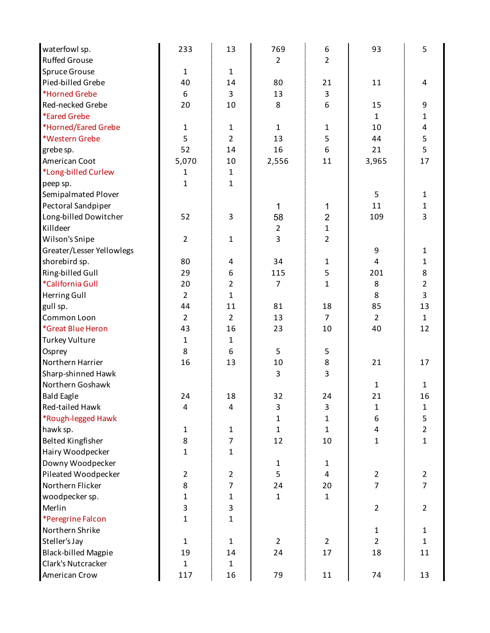| waterfowl sp.              | 233                     | 13             | 769            | 6              | 93             | 5              |
|----------------------------|-------------------------|----------------|----------------|----------------|----------------|----------------|
| <b>Ruffed Grouse</b>       |                         |                | $\overline{2}$ | $\overline{2}$ |                |                |
| Spruce Grouse              | $\mathbf{1}$            | $\mathbf{1}$   |                |                |                |                |
| Pied-billed Grebe          | 40                      | 14             | 80             | 21             | 11             | 4              |
| *Horned Grebe              | 6                       | 3              | 13             | 3              |                |                |
| Red-necked Grebe           | 20                      | 10             | 8              | 6              | 15             | 9              |
| *Eared Grebe               |                         |                |                |                | $\mathbf{1}$   | $\mathbf 1$    |
| *Horned/Eared Grebe        | $\mathbf{1}$            | $\mathbf{1}$   | 1              | $\mathbf{1}$   | 10             | $\pmb{4}$      |
| *Western Grebe             | 5                       | $\overline{2}$ | 13             | 5              | 44             | 5              |
| grebe sp.                  | 52                      | 14             | 16             | 6              | 21             | 5              |
| American Coot              | 5,070                   | 10             | 2,556          | 11             | 3,965          | 17             |
| *Long-billed Curlew        | 1                       | $\mathbf{1}$   |                |                |                |                |
| peep sp.                   | $\mathbf{1}$            | $\mathbf{1}$   |                |                |                |                |
| Semipalmated Plover        |                         |                |                |                | 5              | 1              |
| Pectoral Sandpiper         |                         |                | 1              | $\mathbf{1}$   | 11             | $\mathbf 1$    |
| Long-billed Dowitcher      | 52                      | 3              | 58             | $\overline{2}$ | 109            | 3              |
| Killdeer                   |                         |                | $\overline{2}$ | $\mathbf 1$    |                |                |
| Wilson's Snipe             | $\overline{2}$          | $\mathbf{1}$   | 3              | $\overline{2}$ |                |                |
| Greater/Lesser Yellowlegs  |                         |                |                |                | 9              | 1              |
| shorebird sp.              | 80                      | 4              | 34             | $\mathbf{1}$   | 4              | $\mathbf{1}$   |
| Ring-billed Gull           | 29                      | 6              | 115            | 5              | 201            | 8              |
| *California Gull           | 20                      | $\overline{2}$ | $\overline{7}$ | $\mathbf{1}$   | 8              | $\overline{2}$ |
| Herring Gull               | $\overline{2}$          | $\mathbf{1}$   |                |                | 8              | 3              |
| gull sp.                   | 44                      | 11             | 81             | 18             | 85             | 13             |
| Common Loon                | $\overline{2}$          | $\overline{2}$ | 13             | $\overline{7}$ | $\overline{2}$ | $\mathbf{1}$   |
| *Great Blue Heron          | 43                      | 16             | 23             | 10             | 40             | 12             |
| <b>Turkey Vulture</b>      | $\mathbf{1}$            | $\mathbf{1}$   |                |                |                |                |
| Osprey                     | 8                       | 6              | 5              | 5              |                |                |
| Northern Harrier           | 16                      | 13             | 10             | $\bf 8$        | 21             | 17             |
| Sharp-shinned Hawk         |                         |                | 3              | 3              |                |                |
| Northern Goshawk           |                         |                |                |                | $\mathbf{1}$   | $\mathbf{1}$   |
| <b>Bald Eagle</b>          | 24                      | 18             | 32             | 24             | 21             | 16             |
| Red-tailed Hawk            | $\overline{\mathbf{4}}$ | $\overline{4}$ | 3              | $\mathsf{3}$   | $\mathbf{1}$   | 1              |
| *Rough-legged Hawk         |                         |                | $\mathbf{1}$   | $\mathbf 1$    | 6              | 5              |
| hawk sp.                   | 1                       | $\mathbf{1}$   | $\mathbf{1}$   | $\mathbf{1}$   | 4              | $\overline{c}$ |
| <b>Belted Kingfisher</b>   | 8                       | $\overline{7}$ | 12             | 10             | $\mathbf{1}$   | $\mathbf{1}$   |
| Hairy Woodpecker           | $\mathbf{1}$            | $\mathbf{1}$   |                |                |                |                |
| Downy Woodpecker           |                         |                | $\mathbf{1}$   | $\mathbf{1}$   |                |                |
| Pileated Woodpecker        | $\overline{2}$          | $\overline{2}$ | 5              | 4              | $\overline{2}$ | $\overline{2}$ |
| Northern Flicker           | 8                       | $\overline{7}$ | 24             | 20             | $\overline{7}$ | $\overline{7}$ |
| woodpecker sp.             | 1                       | $\mathbf 1$    | $\mathbf{1}$   | $\mathbf{1}$   |                |                |
| Merlin                     | 3                       | 3              |                |                | $\overline{2}$ | $\overline{2}$ |
| *Peregrine Falcon          | $\mathbf 1$             | $\mathbf{1}$   |                |                |                |                |
| Northern Shrike            |                         |                |                |                | $\mathbf{1}$   | $\mathbf{1}$   |
| Steller's Jay              | $\mathbf{1}$            | $\mathbf{1}$   | $\overline{2}$ | $\overline{2}$ | $\overline{2}$ | $\mathbf{1}$   |
| <b>Black-billed Magpie</b> | 19                      | 14             | 24             | 17             | 18             | 11             |
| Clark's Nutcracker         | $\mathbf{1}$            | $\mathbf{1}$   |                |                |                |                |
| American Crow              | 117                     | 16             | 79             | 11             | 74             | 13             |
|                            |                         |                |                |                |                |                |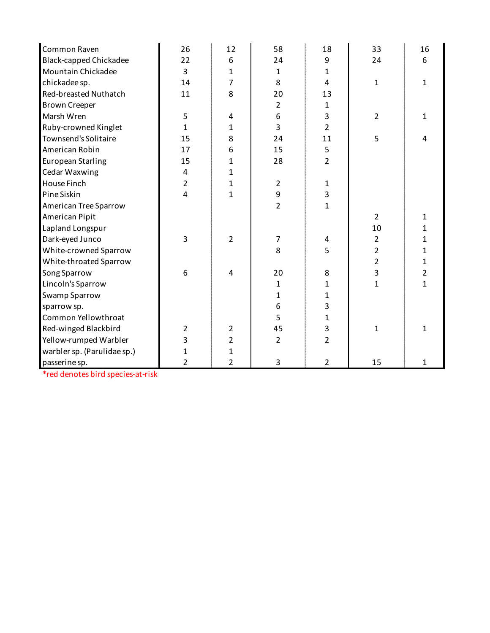| Common Raven                  | 26             | 12             | 58             | 18             | 33                      | 16           |
|-------------------------------|----------------|----------------|----------------|----------------|-------------------------|--------------|
| <b>Black-capped Chickadee</b> | 22             | 6              | 24             | 9              | 24                      | 6            |
| Mountain Chickadee            | 3              | $\mathbf{1}$   | 1              | $\mathbf{1}$   |                         |              |
| chickadee sp.                 | 14             | $\overline{7}$ | 8              | 4              | 1                       | $\mathbf{1}$ |
| Red-breasted Nuthatch         | 11             | 8              | 20             | 13             |                         |              |
| <b>Brown Creeper</b>          |                |                | 2              | 1              |                         |              |
| Marsh Wren                    | 5              | 4              | 6              | 3              | $\overline{2}$          | $\mathbf{1}$ |
| Ruby-crowned Kinglet          | 1              | 1              | 3              | $\overline{2}$ |                         |              |
| Townsend's Solitaire          | 15             | 8              | 24             | 11             | 5                       | 4            |
| American Robin                | 17             | 6              | 15             | 5              |                         |              |
| <b>European Starling</b>      | 15             | 1              | 28             | $\overline{2}$ |                         |              |
| <b>Cedar Waxwing</b>          | $\overline{4}$ | 1              |                |                |                         |              |
| House Finch                   | $\overline{2}$ | 1              | $\overline{2}$ | 1              |                         |              |
| Pine Siskin                   | 4              | $\mathbf{1}$   | 9              | 3              |                         |              |
| American Tree Sparrow         |                |                | $\overline{2}$ | $\mathbf{1}$   |                         |              |
| American Pipit                |                |                |                |                | $\overline{2}$          | 1            |
| Lapland Longspur              |                |                |                |                | 10                      | 1            |
| Dark-eyed Junco               | 3              | $\overline{2}$ | $\overline{7}$ | 4              | $\overline{2}$          | 1            |
| White-crowned Sparrow         |                |                | 8              | 5              | 2                       | 1            |
| White-throated Sparrow        |                |                |                |                | $\overline{\mathbf{c}}$ | 1            |
| Song Sparrow                  | 6              | 4              | 20             | 8              | 3                       | 2            |
| Lincoln's Sparrow             |                |                | 1              | 1              | 1                       | 1            |
| Swamp Sparrow                 |                |                | $\mathbf{1}$   | $\mathbf{1}$   |                         |              |
| sparrow sp.                   |                |                | 6              | 3              |                         |              |
| Common Yellowthroat           |                |                | 5              | 1              |                         |              |
| Red-winged Blackbird          | 2              | $\overline{2}$ | 45             | 3              | 1                       | 1            |
| Yellow-rumped Warbler         | 3              | $\overline{2}$ | $\overline{2}$ | $\overline{2}$ |                         |              |
| warbler sp. (Parulidae sp.)   | 1              | 1              |                |                |                         |              |
| passerine sp.                 | $\overline{2}$ | $\overline{2}$ | 3              | $\overline{2}$ | 15                      | 1            |

\*red denotes bird species-at-risk